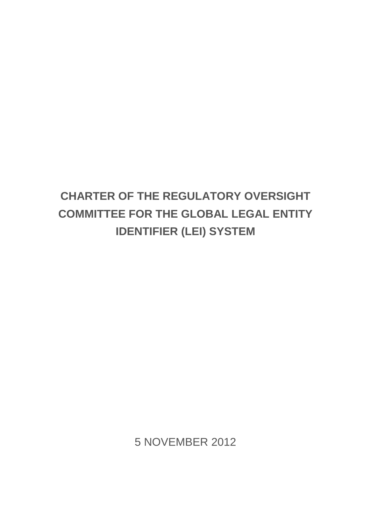# **CHARTER OF THE REGULATORY OVERSIGHT COMMITTEE FOR THE GLOBAL LEGAL ENTITY IDENTIFIER (LEI) SYSTEM**

5 NOVEMBER 2012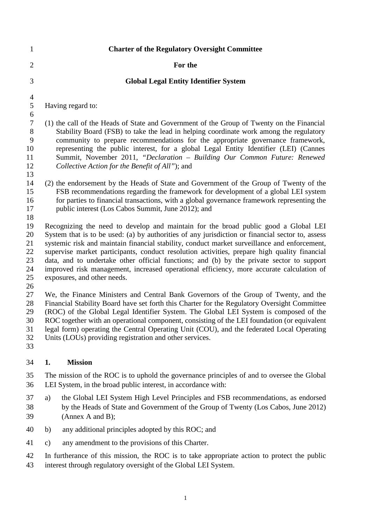| $\mathbf{1}$                                  | <b>Charter of the Regulatory Oversight Committee</b>                                                                                                                                                                                                                                                                                                                                                                                                                                                                                                                                                            |
|-----------------------------------------------|-----------------------------------------------------------------------------------------------------------------------------------------------------------------------------------------------------------------------------------------------------------------------------------------------------------------------------------------------------------------------------------------------------------------------------------------------------------------------------------------------------------------------------------------------------------------------------------------------------------------|
| $\overline{2}$                                | For the                                                                                                                                                                                                                                                                                                                                                                                                                                                                                                                                                                                                         |
| 3                                             | <b>Global Legal Entity Identifier System</b>                                                                                                                                                                                                                                                                                                                                                                                                                                                                                                                                                                    |
| $\overline{4}$<br>$\mathfrak{S}$              | Having regard to:                                                                                                                                                                                                                                                                                                                                                                                                                                                                                                                                                                                               |
| 6<br>$\tau$<br>8<br>9<br>10<br>11<br>12<br>13 | (1) the call of the Heads of State and Government of the Group of Twenty on the Financial<br>Stability Board (FSB) to take the lead in helping coordinate work among the regulatory<br>community to prepare recommendations for the appropriate governance framework,<br>representing the public interest, for a global Legal Entity Identifier (LEI) (Cannes<br>Summit, November 2011, "Declaration - Building Our Common Future: Renewed<br>Collective Action for the Benefit of All"); and                                                                                                                   |
| 14<br>15<br>16<br>17<br>18                    | (2) the endorsement by the Heads of State and Government of the Group of Twenty of the<br>FSB recommendations regarding the framework for development of a global LEI system<br>for parties to financial transactions, with a global governance framework representing the<br>public interest (Los Cabos Summit, June 2012); and                                                                                                                                                                                                                                                                                |
| 19<br>20<br>21<br>22<br>23<br>24<br>25<br>26  | Recognizing the need to develop and maintain for the broad public good a Global LEI<br>System that is to be used: (a) by authorities of any jurisdiction or financial sector to, assess<br>systemic risk and maintain financial stability, conduct market surveillance and enforcement,<br>supervise market participants, conduct resolution activities, prepare high quality financial<br>data, and to undertake other official functions; and (b) by the private sector to support<br>improved risk management, increased operational efficiency, more accurate calculation of<br>exposures, and other needs. |
| 27<br>28<br>29<br>30<br>31<br>32<br>33        | We, the Finance Ministers and Central Bank Governors of the Group of Twenty, and the<br>Financial Stability Board have set forth this Charter for the Regulatory Oversight Committee<br>(ROC) of the Global Legal Identifier System. The Global LEI System is composed of the<br>ROC together with an operational component, consisting of the LEI foundation (or equivalent<br>legal form) operating the Central Operating Unit (COU), and the federated Local Operating<br>Units (LOUs) providing registration and other services.                                                                            |
| 34                                            | <b>Mission</b><br>1.                                                                                                                                                                                                                                                                                                                                                                                                                                                                                                                                                                                            |
| 35<br>36                                      | The mission of the ROC is to uphold the governance principles of and to oversee the Global<br>LEI System, in the broad public interest, in accordance with:                                                                                                                                                                                                                                                                                                                                                                                                                                                     |
| 37<br>38<br>39                                | the Global LEI System High Level Principles and FSB recommendations, as endorsed<br>a)<br>by the Heads of State and Government of the Group of Twenty (Los Cabos, June 2012)<br>(Annex A and B);                                                                                                                                                                                                                                                                                                                                                                                                                |
| 40                                            | any additional principles adopted by this ROC; and<br>b)                                                                                                                                                                                                                                                                                                                                                                                                                                                                                                                                                        |
| 41                                            | any amendment to the provisions of this Charter.<br>$\mathbf{c})$                                                                                                                                                                                                                                                                                                                                                                                                                                                                                                                                               |
| 42                                            | In furtherance of this mission, the ROC is to take appropriate action to protect the public                                                                                                                                                                                                                                                                                                                                                                                                                                                                                                                     |

interest through regulatory oversight of the Global LEI System.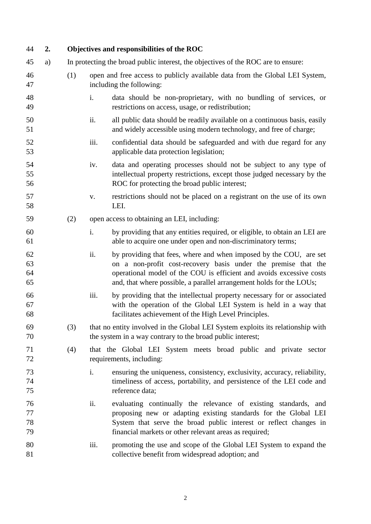| 44                   | 2. |     |      | Objectives and responsibilities of the ROC                                                                                                                                                                                                                                           |
|----------------------|----|-----|------|--------------------------------------------------------------------------------------------------------------------------------------------------------------------------------------------------------------------------------------------------------------------------------------|
| 45                   | a) |     |      | In protecting the broad public interest, the objectives of the ROC are to ensure:                                                                                                                                                                                                    |
| 46<br>47             |    | (1) |      | open and free access to publicly available data from the Global LEI System,<br>including the following:                                                                                                                                                                              |
| 48<br>49             |    |     | i.   | data should be non-proprietary, with no bundling of services, or<br>restrictions on access, usage, or redistribution;                                                                                                                                                                |
| 50<br>51             |    |     | ii.  | all public data should be readily available on a continuous basis, easily<br>and widely accessible using modern technology, and free of charge;                                                                                                                                      |
| 52<br>53             |    |     | iii. | confidential data should be safeguarded and with due regard for any<br>applicable data protection legislation;                                                                                                                                                                       |
| 54<br>55<br>56       |    |     | iv.  | data and operating processes should not be subject to any type of<br>intellectual property restrictions, except those judged necessary by the<br>ROC for protecting the broad public interest;                                                                                       |
| 57<br>58             |    |     | V.   | restrictions should not be placed on a registrant on the use of its own<br>LEI.                                                                                                                                                                                                      |
| 59                   |    | (2) |      | open access to obtaining an LEI, including:                                                                                                                                                                                                                                          |
| 60<br>61             |    |     | i.   | by providing that any entities required, or eligible, to obtain an LEI are<br>able to acquire one under open and non-discriminatory terms;                                                                                                                                           |
| 62<br>63<br>64<br>65 |    |     | ii.  | by providing that fees, where and when imposed by the COU, are set<br>on a non-profit cost-recovery basis under the premise that the<br>operational model of the COU is efficient and avoids excessive costs<br>and, that where possible, a parallel arrangement holds for the LOUs; |
| 66<br>67<br>68       |    |     | iii. | by providing that the intellectual property necessary for or associated<br>with the operation of the Global LEI System is held in a way that<br>facilitates achievement of the High Level Principles.                                                                                |
| 69<br>70             |    | (3) |      | that no entity involved in the Global LEI System exploits its relationship with<br>the system in a way contrary to the broad public interest;                                                                                                                                        |
| 71<br>72             |    | (4) |      | that the Global LEI System meets broad public and private sector<br>requirements, including:                                                                                                                                                                                         |
| 73<br>74<br>75       |    |     | i.   | ensuring the uniqueness, consistency, exclusivity, accuracy, reliability,<br>timeliness of access, portability, and persistence of the LEI code and<br>reference data;                                                                                                               |
| 76<br>77<br>78<br>79 |    |     | ii.  | evaluating continually the relevance of existing standards, and<br>proposing new or adapting existing standards for the Global LEI<br>System that serve the broad public interest or reflect changes in<br>financial markets or other relevant areas as required;                    |
| 80<br>81             |    |     | iii. | promoting the use and scope of the Global LEI System to expand the<br>collective benefit from widespread adoption; and                                                                                                                                                               |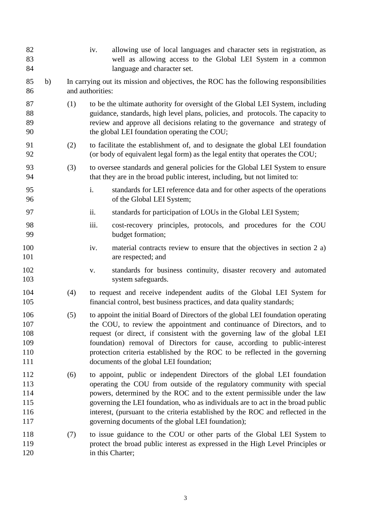| 82<br>83<br>84                         |    |     | iv.              | allowing use of local languages and character sets in registration, as<br>well as allowing access to the Global LEI System in a common<br>language and character set.                                                                                                                                                                                                                                                                                        |
|----------------------------------------|----|-----|------------------|--------------------------------------------------------------------------------------------------------------------------------------------------------------------------------------------------------------------------------------------------------------------------------------------------------------------------------------------------------------------------------------------------------------------------------------------------------------|
| 85<br>86                               | b) |     | and authorities: | In carrying out its mission and objectives, the ROC has the following responsibilities                                                                                                                                                                                                                                                                                                                                                                       |
| 87<br>88<br>89<br>90                   |    | (1) |                  | to be the ultimate authority for oversight of the Global LEI System, including<br>guidance, standards, high level plans, policies, and protocols. The capacity to<br>review and approve all decisions relating to the governance and strategy of<br>the global LEI foundation operating the COU;                                                                                                                                                             |
| 91<br>92                               |    | (2) |                  | to facilitate the establishment of, and to designate the global LEI foundation<br>(or body of equivalent legal form) as the legal entity that operates the COU;                                                                                                                                                                                                                                                                                              |
| 93<br>94                               |    | (3) |                  | to oversee standards and general policies for the Global LEI System to ensure<br>that they are in the broad public interest, including, but not limited to:                                                                                                                                                                                                                                                                                                  |
| 95<br>96                               |    |     | i.               | standards for LEI reference data and for other aspects of the operations<br>of the Global LEI System;                                                                                                                                                                                                                                                                                                                                                        |
| 97                                     |    |     | ii.              | standards for participation of LOUs in the Global LEI System;                                                                                                                                                                                                                                                                                                                                                                                                |
| 98<br>99                               |    |     | iii.             | cost-recovery principles, protocols, and procedures for the COU<br>budget formation;                                                                                                                                                                                                                                                                                                                                                                         |
| 100<br>101                             |    |     | iv.              | material contracts review to ensure that the objectives in section 2 a)<br>are respected; and                                                                                                                                                                                                                                                                                                                                                                |
| 102<br>103                             |    |     | V.               | standards for business continuity, disaster recovery and automated<br>system safeguards.                                                                                                                                                                                                                                                                                                                                                                     |
| 104<br>105                             |    | (4) |                  | to request and receive independent audits of the Global LEI System for<br>financial control, best business practices, and data quality standards;                                                                                                                                                                                                                                                                                                            |
| 106<br>107<br>108<br>109<br>110<br>111 |    | (5) |                  | to appoint the initial Board of Directors of the global LEI foundation operating<br>the COU, to review the appointment and continuance of Directors, and to<br>request (or direct, if consistent with the governing law of the global LEI<br>foundation) removal of Directors for cause, according to public-interest<br>protection criteria established by the ROC to be reflected in the governing<br>documents of the global LEI foundation;              |
| 112<br>113<br>114<br>115<br>116<br>117 |    | (6) |                  | to appoint, public or independent Directors of the global LEI foundation<br>operating the COU from outside of the regulatory community with special<br>powers, determined by the ROC and to the extent permissible under the law<br>governing the LEI foundation, who as individuals are to act in the broad public<br>interest, (pursuant to the criteria established by the ROC and reflected in the<br>governing documents of the global LEI foundation); |
| 118<br>119<br>120                      |    | (7) |                  | to issue guidance to the COU or other parts of the Global LEI System to<br>protect the broad public interest as expressed in the High Level Principles or<br>in this Charter;                                                                                                                                                                                                                                                                                |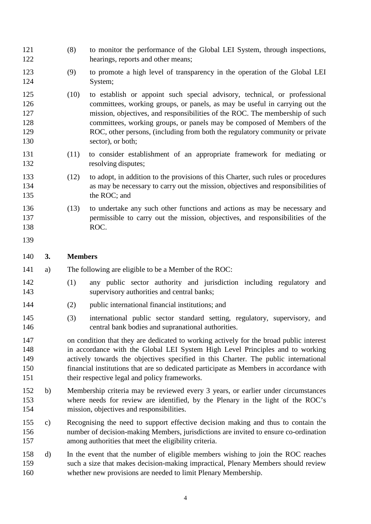- (8) to monitor the performance of the Global LEI System, through inspections, 122 hearings, reports and other means;
- (9) to promote a high level of transparency in the operation of the Global LEI System;
- (10) to establish or appoint such special advisory, technical, or professional committees, working groups, or panels, as may be useful in carrying out the mission, objectives, and responsibilities of the ROC. The membership of such committees, working groups, or panels may be composed of Members of the ROC, other persons, (including from both the regulatory community or private 130 sector), or both;
- (11) to consider establishment of an appropriate framework for mediating or 132 resolving disputes;
- (12) to adopt, in addition to the provisions of this Charter, such rules or procedures as may be necessary to carry out the mission, objectives and responsibilities of 135 the ROC; and
- (13) to undertake any such other functions and actions as may be necessary and permissible to carry out the mission, objectives, and responsibilities of the ROC.
- 

#### **3. Members**

- a) The following are eligible to be a Member of the ROC:
- (1) any public sector authority and jurisdiction including regulatory and supervisory authorities and central banks;
- (2) public international financial institutions; and
- (3) international public sector standard setting, regulatory, supervisory, and central bank bodies and supranational authorities.
- on condition that they are dedicated to working actively for the broad public interest in accordance with the Global LEI System High Level Principles and to working actively towards the objectives specified in this Charter. The public international financial institutions that are so dedicated participate as Members in accordance with their respective legal and policy frameworks.
- b) Membership criteria may be reviewed every 3 years, or earlier under circumstances where needs for review are identified, by the Plenary in the light of the ROC's mission, objectives and responsibilities.
- c) Recognising the need to support effective decision making and thus to contain the number of decision-making Members, jurisdictions are invited to ensure co-ordination among authorities that meet the eligibility criteria.
- d) In the event that the number of eligible members wishing to join the ROC reaches such a size that makes decision-making impractical, Plenary Members should review whether new provisions are needed to limit Plenary Membership.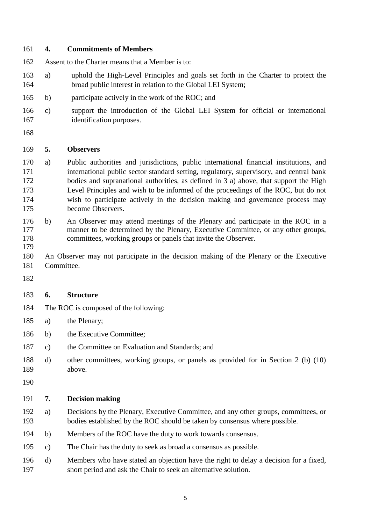#### **4. Commitments of Members**

- Assent to the Charter means that a Member is to:
- a) uphold the High-Level Principles and goals set forth in the Charter to protect the broad public interest in relation to the Global LEI System;
- b) participate actively in the work of the ROC; and
- c) support the introduction of the Global LEI System for official or international identification purposes.
- 

#### **5. Observers**

- a) Public authorities and jurisdictions, public international financial institutions, and international public sector standard setting, regulatory, supervisory, and central bank bodies and supranational authorities, as defined in 3 a) above, that support the High Level Principles and wish to be informed of the proceedings of the ROC, but do not wish to participate actively in the decision making and governance process may become Observers.
- b) An Observer may attend meetings of the Plenary and participate in the ROC in a manner to be determined by the Plenary, Executive Committee, or any other groups, committees, working groups or panels that invite the Observer.
- 
- An Observer may not participate in the decision making of the Plenary or the Executive Committee.
- 

## **6. Structure**

- The ROC is composed of the following:
- a) the Plenary;
- b) the Executive Committee;
- c) the Committee on Evaluation and Standards; and
- d) other committees, working groups, or panels as provided for in Section 2 (b) (10) above.
- 

#### **7. Decision making**

- a) Decisions by the Plenary, Executive Committee, and any other groups, committees, or bodies established by the ROC should be taken by consensus where possible.
- b) Members of the ROC have the duty to work towards consensus.
- c) The Chair has the duty to seek as broad a consensus as possible.
- d) Members who have stated an objection have the right to delay a decision for a fixed, short period and ask the Chair to seek an alternative solution.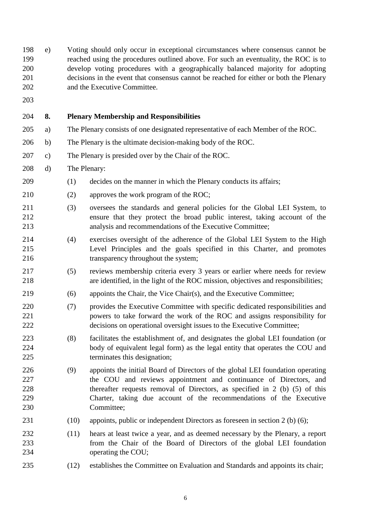e) Voting should only occur in exceptional circumstances where consensus cannot be reached using the procedures outlined above. For such an eventuality, the ROC is to develop voting procedures with a geographically balanced majority for adopting decisions in the event that consensus cannot be reached for either or both the Plenary and the Executive Committee.

**8. Plenary Membership and Responsibilities**

- a) The Plenary consists of one designated representative of each Member of the ROC.
- b) The Plenary is the ultimate decision-making body of the ROC.
- c) The Plenary is presided over by the Chair of the ROC.
- d) The Plenary:
- (1) decides on the manner in which the Plenary conducts its affairs;
- (2) approves the work program of the ROC;
- (3) oversees the standards and general policies for the Global LEI System, to ensure that they protect the broad public interest, taking account of the analysis and recommendations of the Executive Committee;
- (4) exercises oversight of the adherence of the Global LEI System to the High Level Principles and the goals specified in this Charter, and promotes 216 transparency throughout the system;
- (5) reviews membership criteria every 3 years or earlier where needs for review are identified, in the light of the ROC mission, objectives and responsibilities;
- (6) appoints the Chair, the Vice Chair(s), and the Executive Committee;
- (7) provides the Executive Committee with specific dedicated responsibilities and powers to take forward the work of the ROC and assigns responsibility for decisions on operational oversight issues to the Executive Committee;
- (8) facilitates the establishment of, and designates the global LEI foundation (or body of equivalent legal form) as the legal entity that operates the COU and terminates this designation;
- (9) appoints the initial Board of Directors of the global LEI foundation operating the COU and reviews appointment and continuance of Directors, and thereafter requests removal of Directors, as specified in 2 (b) (5) of this Charter, taking due account of the recommendations of the Executive Committee;
- (10) appoints, public or independent Directors as foreseen in section 2 (b) (6);
- (11) hears at least twice a year, and as deemed necessary by the Plenary, a report from the Chair of the Board of Directors of the global LEI foundation 234 operating the COU;
- (12) establishes the Committee on Evaluation and Standards and appoints its chair;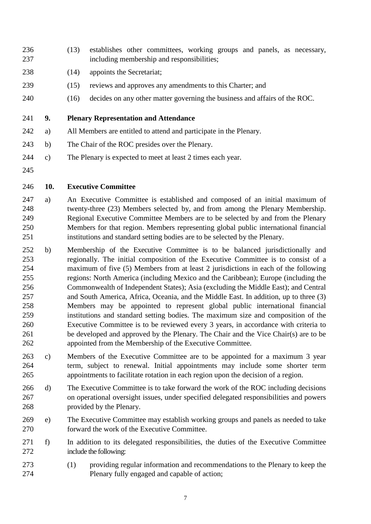- (13) establishes other committees, working groups and panels, as necessary, including membership and responsibilities;
- 238 (14) appoints the Secretariat;
- (15) reviews and approves any amendments to this Charter; and
- (16) decides on any other matter governing the business and affairs of the ROC.

**9. Plenary Representation and Attendance**

- a) All Members are entitled to attend and participate in the Plenary.
- b) The Chair of the ROC presides over the Plenary.
- c) The Plenary is expected to meet at least 2 times each year.
- 

## **10. Executive Committee**

- a) An Executive Committee is established and composed of an initial maximum of twenty-three (23) Members selected by, and from among the Plenary Membership. Regional Executive Committee Members are to be selected by and from the Plenary Members for that region. Members representing global public international financial institutions and standard setting bodies are to be selected by the Plenary.
- b) Membership of the Executive Committee is to be balanced jurisdictionally and regionally. The initial composition of the Executive Committee is to consist of a maximum of five (5) Members from at least 2 jurisdictions in each of the following regions: North America (including Mexico and the Caribbean); Europe (including the Commonwealth of Independent States); Asia (excluding the Middle East); and Central and South America, Africa, Oceania, and the Middle East. In addition, up to three (3) Members may be appointed to represent global public international financial institutions and standard setting bodies. The maximum size and composition of the Executive Committee is to be reviewed every 3 years, in accordance with criteria to be developed and approved by the Plenary. The Chair and the Vice Chair(s) are to be appointed from the Membership of the Executive Committee.
- c) Members of the Executive Committee are to be appointed for a maximum 3 year term, subject to renewal. Initial appointments may include some shorter term appointments to facilitate rotation in each region upon the decision of a region.
- d) The Executive Committee is to take forward the work of the ROC including decisions on operational oversight issues, under specified delegated responsibilities and powers provided by the Plenary.
- e) The Executive Committee may establish working groups and panels as needed to take forward the work of the Executive Committee.
- f) In addition to its delegated responsibilities, the duties of the Executive Committee include the following:
- (1) providing regular information and recommendations to the Plenary to keep the Plenary fully engaged and capable of action;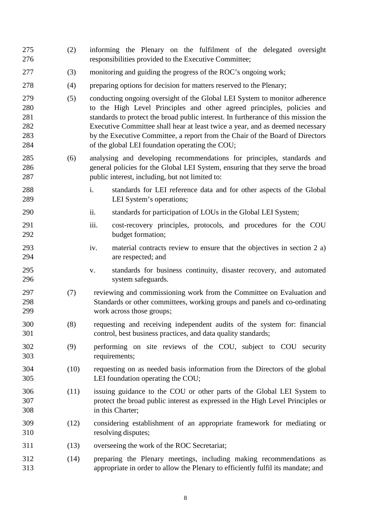| 275<br>276                             | (2)  | informing the Plenary on the fulfilment of the delegated oversight<br>responsibilities provided to the Executive Committee;                                                                                                                                                                                                                                                                                                                                     |
|----------------------------------------|------|-----------------------------------------------------------------------------------------------------------------------------------------------------------------------------------------------------------------------------------------------------------------------------------------------------------------------------------------------------------------------------------------------------------------------------------------------------------------|
| 277                                    | (3)  | monitoring and guiding the progress of the ROC's ongoing work;                                                                                                                                                                                                                                                                                                                                                                                                  |
| 278                                    | (4)  | preparing options for decision for matters reserved to the Plenary;                                                                                                                                                                                                                                                                                                                                                                                             |
| 279<br>280<br>281<br>282<br>283<br>284 | (5)  | conducting ongoing oversight of the Global LEI System to monitor adherence<br>to the High Level Principles and other agreed principles, policies and<br>standards to protect the broad public interest. In furtherance of this mission the<br>Executive Committee shall hear at least twice a year, and as deemed necessary<br>by the Executive Committee, a report from the Chair of the Board of Directors<br>of the global LEI foundation operating the COU; |
| 285<br>286<br>287                      | (6)  | analysing and developing recommendations for principles, standards and<br>general policies for the Global LEI System, ensuring that they serve the broad<br>public interest, including, but not limited to:                                                                                                                                                                                                                                                     |
| 288<br>289                             |      | i.<br>standards for LEI reference data and for other aspects of the Global<br>LEI System's operations;                                                                                                                                                                                                                                                                                                                                                          |
| 290                                    |      | ii.<br>standards for participation of LOUs in the Global LEI System;                                                                                                                                                                                                                                                                                                                                                                                            |
| 291<br>292                             |      | iii.<br>cost-recovery principles, protocols, and procedures for the COU<br>budget formation;                                                                                                                                                                                                                                                                                                                                                                    |
| 293<br>294                             |      | iv.<br>material contracts review to ensure that the objectives in section 2 a)<br>are respected; and                                                                                                                                                                                                                                                                                                                                                            |
| 295<br>296                             |      | standards for business continuity, disaster recovery, and automated<br>V.<br>system safeguards.                                                                                                                                                                                                                                                                                                                                                                 |
| 297<br>298<br>299                      | (7)  | reviewing and commissioning work from the Committee on Evaluation and<br>Standards or other committees, working groups and panels and co-ordinating<br>work across those groups;                                                                                                                                                                                                                                                                                |
| 300<br>301                             | (8)  | requesting and receiving independent audits of the system for: financial<br>control, best business practices, and data quality standards;                                                                                                                                                                                                                                                                                                                       |
| 302<br>303                             | (9)  | performing on site reviews of the COU, subject to COU security<br>requirements;                                                                                                                                                                                                                                                                                                                                                                                 |
| 304<br>305                             | (10) | requesting on as needed basis information from the Directors of the global<br>LEI foundation operating the COU;                                                                                                                                                                                                                                                                                                                                                 |
| 306<br>307<br>308                      | (11) | issuing guidance to the COU or other parts of the Global LEI System to<br>protect the broad public interest as expressed in the High Level Principles or<br>in this Charter;                                                                                                                                                                                                                                                                                    |
| 309<br>310                             | (12) | considering establishment of an appropriate framework for mediating or<br>resolving disputes;                                                                                                                                                                                                                                                                                                                                                                   |
| 311                                    | (13) | overseeing the work of the ROC Secretariat;                                                                                                                                                                                                                                                                                                                                                                                                                     |
| 312<br>313                             | (14) | preparing the Plenary meetings, including making recommendations as<br>appropriate in order to allow the Plenary to efficiently fulfil its mandate; and                                                                                                                                                                                                                                                                                                         |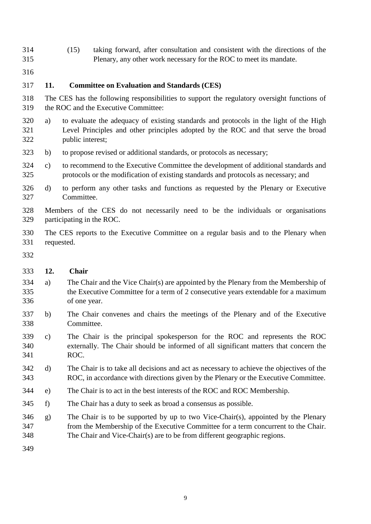- (15) taking forward, after consultation and consistent with the directions of the Plenary, any other work necessary for the ROC to meet its mandate.
- 

## **11. Committee on Evaluation and Standards (CES)**

- The CES has the following responsibilities to support the regulatory oversight functions of the ROC and the Executive Committee:
- a) to evaluate the adequacy of existing standards and protocols in the light of the High Level Principles and other principles adopted by the ROC and that serve the broad public interest;
- b) to propose revised or additional standards, or protocols as necessary;
- c) to recommend to the Executive Committee the development of additional standards and protocols or the modification of existing standards and protocols as necessary; and
- d) to perform any other tasks and functions as requested by the Plenary or Executive Committee.
- Members of the CES do not necessarily need to be the individuals or organisations participating in the ROC.
- The CES reports to the Executive Committee on a regular basis and to the Plenary when requested.
- 

#### **12. Chair**

- a) The Chair and the Vice Chair(s) are appointed by the Plenary from the Membership of the Executive Committee for a term of 2 consecutive years extendable for a maximum of one year.
- b) The Chair convenes and chairs the meetings of the Plenary and of the Executive Committee.
- c) The Chair is the principal spokesperson for the ROC and represents the ROC externally. The Chair should be informed of all significant matters that concern the ROC.
- d) The Chair is to take all decisions and act as necessary to achieve the objectives of the ROC, in accordance with directions given by the Plenary or the Executive Committee.
- e) The Chair is to act in the best interests of the ROC and ROC Membership.
- f) The Chair has a duty to seek as broad a consensus as possible.
- g) The Chair is to be supported by up to two Vice-Chair(s), appointed by the Plenary from the Membership of the Executive Committee for a term concurrent to the Chair. The Chair and Vice-Chair(s) are to be from different geographic regions.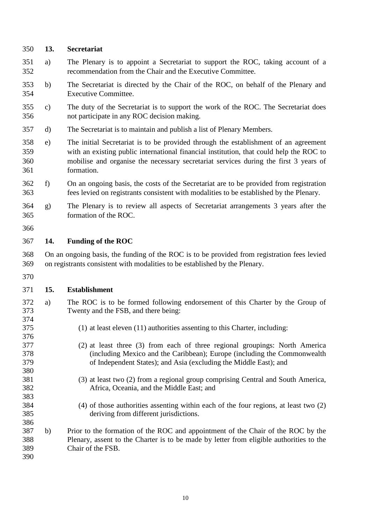| 350                      | 13.                                                                                                                                                                        | Secretariat                                                                                                                                                                                                                                                                          |  |  |  |
|--------------------------|----------------------------------------------------------------------------------------------------------------------------------------------------------------------------|--------------------------------------------------------------------------------------------------------------------------------------------------------------------------------------------------------------------------------------------------------------------------------------|--|--|--|
| 351<br>352               | a)                                                                                                                                                                         | The Plenary is to appoint a Secretariat to support the ROC, taking account of a<br>recommendation from the Chair and the Executive Committee.                                                                                                                                        |  |  |  |
| 353<br>354               | b)                                                                                                                                                                         | The Secretariat is directed by the Chair of the ROC, on behalf of the Plenary and<br><b>Executive Committee.</b>                                                                                                                                                                     |  |  |  |
| 355<br>356               | $\mathbf{c})$                                                                                                                                                              | The duty of the Secretariat is to support the work of the ROC. The Secretariat does<br>not participate in any ROC decision making.                                                                                                                                                   |  |  |  |
| 357                      | d)                                                                                                                                                                         | The Secretariat is to maintain and publish a list of Plenary Members.                                                                                                                                                                                                                |  |  |  |
| 358<br>359<br>360<br>361 | e)                                                                                                                                                                         | The initial Secretariat is to be provided through the establishment of an agreement<br>with an existing public international financial institution, that could help the ROC to<br>mobilise and organise the necessary secretariat services during the first 3 years of<br>formation. |  |  |  |
| 362<br>363               | f                                                                                                                                                                          | On an ongoing basis, the costs of the Secretariat are to be provided from registration<br>fees levied on registrants consistent with modalities to be established by the Plenary.                                                                                                    |  |  |  |
| 364<br>365               | g)                                                                                                                                                                         | The Plenary is to review all aspects of Secretariat arrangements 3 years after the<br>formation of the ROC.                                                                                                                                                                          |  |  |  |
| 366                      |                                                                                                                                                                            |                                                                                                                                                                                                                                                                                      |  |  |  |
| 367                      | 14.                                                                                                                                                                        | <b>Funding of the ROC</b>                                                                                                                                                                                                                                                            |  |  |  |
| 368<br>369               | On an ongoing basis, the funding of the ROC is to be provided from registration fees levied<br>on registrants consistent with modalities to be established by the Plenary. |                                                                                                                                                                                                                                                                                      |  |  |  |
| 370                      |                                                                                                                                                                            |                                                                                                                                                                                                                                                                                      |  |  |  |
| 371                      | 15.                                                                                                                                                                        | <b>Establishment</b>                                                                                                                                                                                                                                                                 |  |  |  |
| 372<br>373<br>374        | a)                                                                                                                                                                         | The ROC is to be formed following endorsement of this Charter by the Group of<br>Twenty and the FSB, and there being:                                                                                                                                                                |  |  |  |
| 375<br>376               |                                                                                                                                                                            | $(1)$ at least eleven $(11)$ authorities assenting to this Charter, including:                                                                                                                                                                                                       |  |  |  |
| 377<br>378<br>379<br>380 |                                                                                                                                                                            | (2) at least three (3) from each of three regional groupings: North America<br>(including Mexico and the Caribbean); Europe (including the Commonwealth<br>of Independent States); and Asia (excluding the Middle East); and                                                         |  |  |  |
| 381<br>382<br>383        |                                                                                                                                                                            | (3) at least two (2) from a regional group comprising Central and South America,<br>Africa, Oceania, and the Middle East; and                                                                                                                                                        |  |  |  |
| 384<br>385<br>386        |                                                                                                                                                                            | (4) of those authorities assenting within each of the four regions, at least two (2)<br>deriving from different jurisdictions.                                                                                                                                                       |  |  |  |
| 387<br>388<br>389<br>390 | b)                                                                                                                                                                         | Prior to the formation of the ROC and appointment of the Chair of the ROC by the<br>Plenary, assent to the Charter is to be made by letter from eligible authorities to the<br>Chair of the FSB.                                                                                     |  |  |  |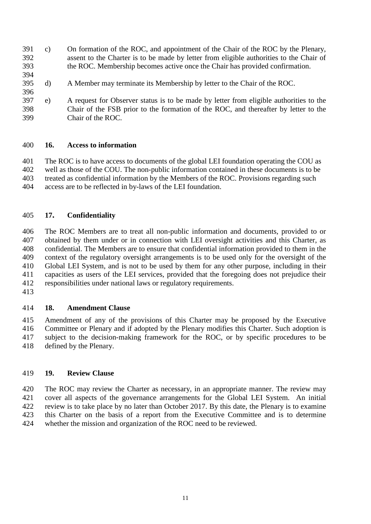- 391 c) On formation of the ROC, and appointment of the Chair of the ROC by the Plenary,<br>392 assent to the Charter is to be made by letter from eligible authorities to the Chair of assent to the Charter is to be made by letter from eligible authorities to the Chair of the ROC. Membership becomes active once the Chair has provided confirmation.
- d) A Member may terminate its Membership by letter to the Chair of the ROC.
- 396<br>397 e) A request for Observer status is to be made by letter from eligible authorities to the Chair of the FSB prior to the formation of the ROC, and thereafter by letter to the Chair of the ROC.

#### **16. Access to information**

 The ROC is to have access to documents of the global LEI foundation operating the COU as well as those of the COU. The non-public information contained in these documents is to be treated as confidential information by the Members of the ROC. Provisions regarding such access are to be reflected in by-laws of the LEI foundation.

## **17. Confidentiality**

 The ROC Members are to treat all non-public information and documents, provided to or 407 obtained by them under or in connection with LEI oversight activities and this Charter, as confidential. The Members are to ensure that confidential information provided to them in the confidential. The Members are to ensure that confidential information provided to them in the context of the regulatory oversight arrangements is to be used only for the oversight of the Global LEI System, and is not to be used by them for any other purpose, including in their capacities as users of the LEI services, provided that the foregoing does not prejudice their responsibilities under national laws or regulatory requirements.

## **18. Amendment Clause**

 Amendment of any of the provisions of this Charter may be proposed by the Executive Committee or Plenary and if adopted by the Plenary modifies this Charter. Such adoption is subject to the decision-making framework for the ROC, or by specific procedures to be defined by the Plenary.

#### **19. Review Clause**

 The ROC may review the Charter as necessary, in an appropriate manner. The review may cover all aspects of the governance arrangements for the Global LEI System. An initial review is to take place by no later than October 2017. By this date, the Plenary is to examine this Charter on the basis of a report from the Executive Committee and is to determine whether the mission and organization of the ROC need to be reviewed.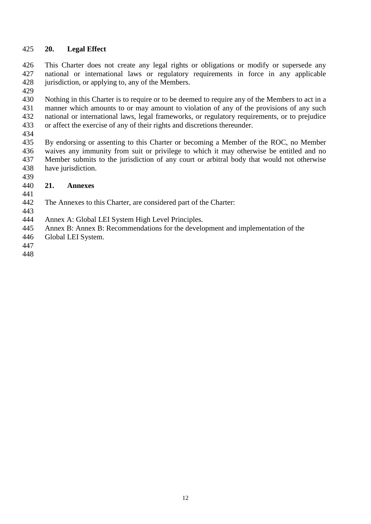## 425 **20. Legal Effect**

426 This Charter does not create any legal rights or obligations or modify or supersede any national or international laws or regulatory requirements in force in any applicable national or international laws or regulatory requirements in force in any applicable 428 jurisdiction, or applying to, any of the Members.

429<br>430

430 Nothing in this Charter is to require or to be deemed to require any of the Members to act in a<br>431 manner which amounts to or may amount to violation of any of the provisions of any such 431 manner which amounts to or may amount to violation of any of the provisions of any such national or international laws, legal frameworks, or regulatory requirements, or to prejudice national or international laws, legal frameworks, or regulatory requirements, or to prejudice 433 or affect the exercise of any of their rights and discretions thereunder.

434<br>435 By endorsing or assenting to this Charter or becoming a Member of the ROC, no Member 436 waives any immunity from suit or privilege to which it may otherwise be entitled and no 437 Member submits to the jurisdiction of any court or arbitral body that would not otherwise 438 have jurisdiction.

## 440 **21. Annexes**

441<br>442 The Annexes to this Charter, are considered part of the Charter:

443

439

444 Annex A: Global LEI System High Level Principles.

445 Annex B: Annex B: Recommendations for the development and implementation of the

- 446 Global LEI System.
- 447
- 448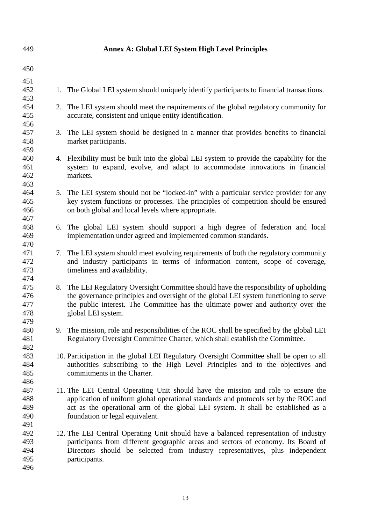| 449                             |    | <b>Annex A: Global LEI System High Level Principles</b>                                                                                                                                                                                                                                           |
|---------------------------------|----|---------------------------------------------------------------------------------------------------------------------------------------------------------------------------------------------------------------------------------------------------------------------------------------------------|
| 450                             |    |                                                                                                                                                                                                                                                                                                   |
| 451<br>452                      | 1. | The Global LEI system should uniquely identify participants to financial transactions.                                                                                                                                                                                                            |
| 453<br>454                      |    | 2. The LEI system should meet the requirements of the global regulatory community for                                                                                                                                                                                                             |
| 455<br>456                      |    | accurate, consistent and unique entity identification.                                                                                                                                                                                                                                            |
| 457<br>458<br>459               |    | 3. The LEI system should be designed in a manner that provides benefits to financial<br>market participants.                                                                                                                                                                                      |
| 460<br>461<br>462<br>463        |    | 4. Flexibility must be built into the global LEI system to provide the capability for the<br>system to expand, evolve, and adapt to accommodate innovations in financial<br>markets.                                                                                                              |
| 464<br>465<br>466<br>467        |    | 5. The LEI system should not be "locked-in" with a particular service provider for any<br>key system functions or processes. The principles of competition should be ensured<br>on both global and local levels where appropriate.                                                                |
| 468<br>469<br>470               |    | 6. The global LEI system should support a high degree of federation and local<br>implementation under agreed and implemented common standards.                                                                                                                                                    |
| 471<br>472<br>473<br>474        |    | 7. The LEI system should meet evolving requirements of both the regulatory community<br>and industry participants in terms of information content, scope of coverage,<br>timeliness and availability.                                                                                             |
| 475<br>476<br>477<br>478<br>479 |    | 8. The LEI Regulatory Oversight Committee should have the responsibility of upholding<br>the governance principles and oversight of the global LEI system functioning to serve<br>the public interest. The Committee has the ultimate power and authority over the<br>global LEI system.          |
| 480<br>481<br>482               |    | 9. The mission, role and responsibilities of the ROC shall be specified by the global LEI<br>Regulatory Oversight Committee Charter, which shall establish the Committee.                                                                                                                         |
| 483<br>484<br>485<br>486        |    | 10. Participation in the global LEI Regulatory Oversight Committee shall be open to all<br>authorities subscribing to the High Level Principles and to the objectives and<br>commitments in the Charter.                                                                                          |
| 487<br>488<br>489<br>490<br>491 |    | 11. The LEI Central Operating Unit should have the mission and role to ensure the<br>application of uniform global operational standards and protocols set by the ROC and<br>act as the operational arm of the global LEI system. It shall be established as a<br>foundation or legal equivalent. |
| 492<br>493<br>494<br>495<br>496 |    | 12. The LEI Central Operating Unit should have a balanced representation of industry<br>participants from different geographic areas and sectors of economy. Its Board of<br>Directors should be selected from industry representatives, plus independent<br>participants.                        |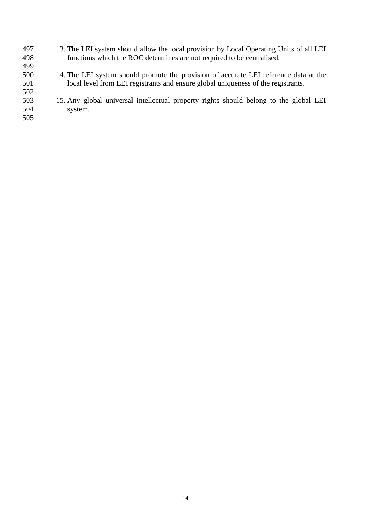- 497 13. The LEI system should allow the local provision by Local Operating Units of all LEI 498 functions which the ROC determines are not required to be centralised. functions which the ROC determines are not required to be centralised. 499<br>500
- 500 14. The LEI system should promote the provision of accurate LEI reference data at the local level from LEI registrants and ensure global uniqueness of the registrants. local level from LEI registrants and ensure global uniqueness of the registrants.
- 502<br>503 503 15. Any global universal intellectual property rights should belong to the global LEI system.
- 505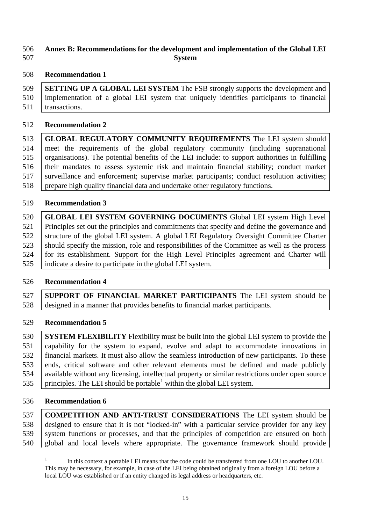## **Annex B: Recommendations for the development and implementation of the Global LEI System**

#### **Recommendation 1**

 **SETTING UP A GLOBAL LEI SYSTEM** The FSB strongly supports the development and implementation of a global LEI system that uniquely identifies participants to financial 511 | transactions.

#### **Recommendation 2**

 **GLOBAL REGULATORY COMMUNITY REQUIREMENTS** The LEI system should meet the requirements of the global regulatory community (including supranational 515 | organisations). The potential benefits of the LEI include: to support authorities in fulfilling their mandates to assess systemic risk and maintain financial stability; conduct market 517 surveillance and enforcement; supervise market participants; conduct resolution activities; prepare high quality financial data and undertake other regulatory functions.

**Recommendation 3**

 **GLOBAL LEI SYSTEM GOVERNING DOCUMENTS** Global LEI system High Level Principles set out the principles and commitments that specify and define the governance and 522 Structure of the global LEI system. A global LEI Regulatory Oversight Committee Charter 523 should specify the mission, role and responsibilities of the Committee as well as the process for its establishment. Support for the High Level Principles agreement and Charter will indicate a desire to participate in the global LEI system.

## **Recommendation 4**

 **SUPPORT OF FINANCIAL MARKET PARTICIPANTS** The LEI system should be designed in a manner that provides benefits to financial market participants.

## **Recommendation 5**

 **SYSTEM FLEXIBILITY** Flexibility must be built into the global LEI system to provide the capability for the system to expand, evolve and adapt to accommodate innovations in financial markets. It must also allow the seamless introduction of new participants. To these 533 ends, critical software and other relevant elements must be defined and made publicly available without any licensing, intellectual property or similar restrictions under open source 535 | principles. The LEI should be portable<sup>[1](#page-15-0)</sup> within the global LEI system.

#### **Recommendation 6**

 **COMPETITION AND ANTI-TRUST CONSIDERATIONS** The LEI system should be designed to ensure that it is not "locked-in" with a particular service provider for any key 539 system functions or processes, and that the principles of competition are ensured on both global and local levels where appropriate. The governance framework should provide

<span id="page-15-0"></span> In this context a portable LEI means that the code could be transferred from one LOU to another LOU. This may be necessary, for example, in case of the LEI being obtained originally from a foreign LOU before a local LOU was established or if an entity changed its legal address or headquarters, etc.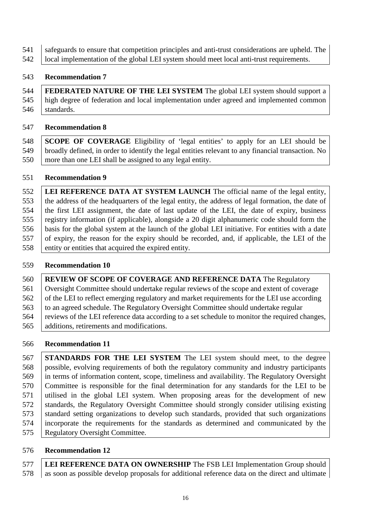safeguards to ensure that competition principles and anti-trust considerations are upheld. The 542 | local implementation of the global LEI system should meet local anti-trust requirements.

## **Recommendation 7**

 **FEDERATED NATURE OF THE LEI SYSTEM** The global LEI system should support a high degree of federation and local implementation under agreed and implemented common 546 standards.

## **Recommendation 8**

 **SCOPE OF COVERAGE** Eligibility of 'legal entities' to apply for an LEI should be broadly defined, in order to identify the legal entities relevant to any financial transaction. No more than one LEI shall be assigned to any legal entity.

# **Recommendation 9**

 **LEI REFERENCE DATA AT SYSTEM LAUNCH** The official name of the legal entity, the address of the headquarters of the legal entity, the address of legal formation, the date of the first LEI assignment, the date of last update of the LEI, the date of expiry, business registry information (if applicable), alongside a 20 digit alphanumeric code should form the basis for the global system at the launch of the global LEI initiative. For entities with a date of expiry, the reason for the expiry should be recorded, and, if applicable, the LEI of the entity or entities that acquired the expired entity.

## **Recommendation 10**

 **REVIEW OF SCOPE OF COVERAGE AND REFERENCE DATA** The Regulatory Oversight Committee should undertake regular reviews of the scope and extent of coverage 562 of the LEI to reflect emerging regulatory and market requirements for the LEI use according 563 to an agreed schedule. The Regulatory Oversight Committee should undertake regular 564 reviews of the LEI reference data according to a set schedule to monitor the required changes, additions, retirements and modifications.

# **Recommendation 11**

 **STANDARDS FOR THE LEI SYSTEM** The LEI system should meet, to the degree possible, evolving requirements of both the regulatory community and industry participants in terms of information content, scope, timeliness and availability. The Regulatory Oversight Committee is responsible for the final determination for any standards for the LEI to be utilised in the global LEI system. When proposing areas for the development of new 572 standards, the Regulatory Oversight Committee should strongly consider utilising existing 573 standard setting organizations to develop such standards, provided that such organizations incorporate the requirements for the standards as determined and communicated by the Regulatory Oversight Committee.

# **Recommendation 12**

**LEI REFERENCE DATA ON OWNERSHIP** The FSB LEI Implementation Group should 578 as soon as possible develop proposals for additional reference data on the direct and ultimate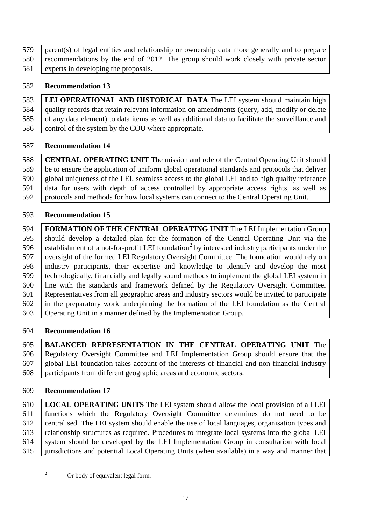parent(s) of legal entities and relationship or ownership data more generally and to prepare 580 recommendations by the end of 2012. The group should work closely with private sector 581 experts in developing the proposals.

# **Recommendation 13**

 **LEI OPERATIONAL AND HISTORICAL DATA** The LEI system should maintain high quality records that retain relevant information on amendments (query, add, modify or delete 585 of any data element) to data items as well as additional data to facilitate the surveillance and 586 control of the system by the COU where appropriate.

# **Recommendation 14**

 **CENTRAL OPERATING UNIT** The mission and role of the Central Operating Unit should be to ensure the application of uniform global operational standards and protocols that deliver global uniqueness of the LEI, seamless access to the global LEI and to high quality reference data for users with depth of access controlled by appropriate access rights, as well as 592 protocols and methods for how local systems can connect to the Central Operating Unit.

# **Recommendation 15**

 **FORMATION OF THE CENTRAL OPERATING UNIT** The LEI Implementation Group should develop a detailed plan for the formation of the Central Operating Unit via the 596 establishment of a not-for-profit LEI foundation<sup>[2](#page-17-0)</sup> by interested industry participants under the oversight of the formed LEI Regulatory Oversight Committee. The foundation would rely on industry participants, their expertise and knowledge to identify and develop the most technologically, financially and legally sound methods to implement the global LEI system in line with the standards and framework defined by the Regulatory Oversight Committee. Representatives from all geographic areas and industry sectors would be invited to participate in the preparatory work underpinning the formation of the LEI foundation as the Central Operating Unit in a manner defined by the Implementation Group.

# **Recommendation 16**

 **BALANCED REPRESENTATION IN THE CENTRAL OPERATING UNIT** The Regulatory Oversight Committee and LEI Implementation Group should ensure that the global LEI foundation takes account of the interests of financial and non-financial industry participants from different geographic areas and economic sectors.

# **Recommendation 17**

 **LOCAL OPERATING UNITS** The LEI system should allow the local provision of all LEI functions which the Regulatory Oversight Committee determines do not need to be centralised. The LEI system should enable the use of local languages, organisation types and relationship structures as required. Procedures to integrate local systems into the global LEI system should be developed by the LEI Implementation Group in consultation with local jurisdictions and potential Local Operating Units (when available) in a way and manner that

<span id="page-17-0"></span>

<sup>&</sup>lt;sup>2</sup> Or body of equivalent legal form.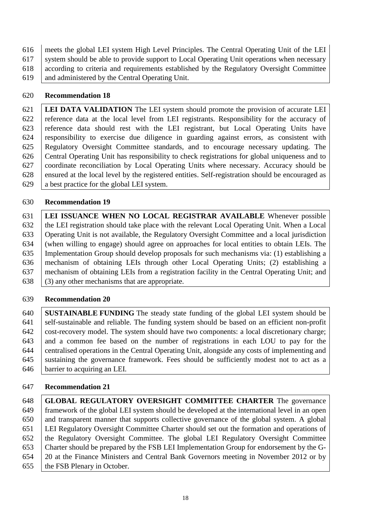meets the global LEI system High Level Principles. The Central Operating Unit of the LEI system should be able to provide support to Local Operating Unit operations when necessary according to criteria and requirements established by the Regulatory Oversight Committee and administered by the Central Operating Unit.

# **Recommendation 18**

 **LEI DATA VALIDATION** The LEI system should promote the provision of accurate LEI 622 reference data at the local level from LEI registrants. Responsibility for the accuracy of reference data should rest with the LEI registrant, but Local Operating Units have responsibility to exercise due diligence in guarding against errors, as consistent with Regulatory Oversight Committee standards, and to encourage necessary updating. The Central Operating Unit has responsibility to check registrations for global uniqueness and to coordinate reconciliation by Local Operating Units where necessary. Accuracy should be ensured at the local level by the registered entities. Self-registration should be encouraged as a best practice for the global LEI system.

# **Recommendation 19**

 **LEI ISSUANCE WHEN NO LOCAL REGISTRAR AVAILABLE** Whenever possible 632 the LEI registration should take place with the relevant Local Operating Unit. When a Local Operating Unit is not available, the Regulatory Oversight Committee and a local jurisdiction (when willing to engage) should agree on approaches for local entities to obtain LEIs. The Implementation Group should develop proposals for such mechanisms via: (1) establishing a mechanism of obtaining LEIs through other Local Operating Units; (2) establishing a mechanism of obtaining LEIs from a registration facility in the Central Operating Unit; and  $\vert$  (3) any other mechanisms that are appropriate.

# **Recommendation 20**

 **SUSTAINABLE FUNDING** The steady state funding of the global LEI system should be 641 self-sustainable and reliable. The funding system should be based on an efficient non-profit cost-recovery model. The system should have two components: a local discretionary charge; and a common fee based on the number of registrations in each LOU to pay for the centralised operations in the Central Operating Unit, alongside any costs of implementing and 645 sustaining the governance framework. Fees should be sufficiently modest not to act as a barrier to acquiring an LEI.

# **Recommendation 21**

 **GLOBAL REGULATORY OVERSIGHT COMMITTEE CHARTER** The governance framework of the global LEI system should be developed at the international level in an open and transparent manner that supports collective governance of the global system. A global LEI Regulatory Oversight Committee Charter should set out the formation and operations of the Regulatory Oversight Committee. The global LEI Regulatory Oversight Committee Charter should be prepared by the FSB LEI Implementation Group for endorsement by the G- 20 at the Finance Ministers and Central Bank Governors meeting in November 2012 or by 655 the FSB Plenary in October.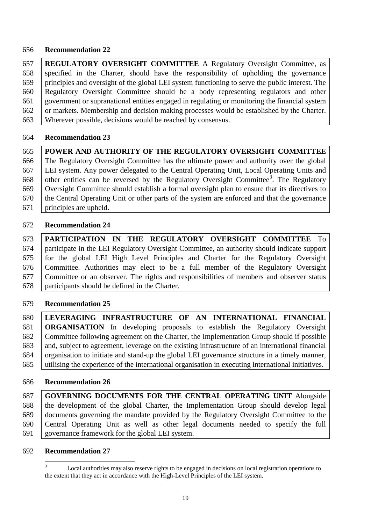## **Recommendation 22**

 **REGULATORY OVERSIGHT COMMITTEE** A Regulatory Oversight Committee, as specified in the Charter, should have the responsibility of upholding the governance principles and oversight of the global LEI system functioning to serve the public interest. The Regulatory Oversight Committee should be a body representing regulators and other government or supranational entities engaged in regulating or monitoring the financial system 662 or markets. Membership and decision making processes would be established by the Charter. Wherever possible, decisions would be reached by consensus.

#### **Recommendation 23**

 **POWER AND AUTHORITY OF THE REGULATORY OVERSIGHT COMMITTEE**  The Regulatory Oversight Committee has the ultimate power and authority over the global LEI system. Any power delegated to the Central Operating Unit, Local Operating Units and 668 other entities can be reversed by the Regulatory Oversight Committee<sup>[3](#page-19-0)</sup>. The Regulatory Oversight Committee should establish a formal oversight plan to ensure that its directives to the Central Operating Unit or other parts of the system are enforced and that the governance principles are upheld.

## **Recommendation 24**

 **PARTICIPATION IN THE REGULATORY OVERSIGHT COMMITTEE** To participate in the LEI Regulatory Oversight Committee, an authority should indicate support for the global LEI High Level Principles and Charter for the Regulatory Oversight Committee. Authorities may elect to be a full member of the Regulatory Oversight Committee or an observer. The rights and responsibilities of members and observer status participants should be defined in the Charter.

## **Recommendation 25**

 **LEVERAGING INFRASTRUCTURE OF AN INTERNATIONAL FINANCIAL ORGANISATION** In developing proposals to establish the Regulatory Oversight Committee following agreement on the Charter, the Implementation Group should if possible and, subject to agreement, leverage on the existing infrastructure of an international financial organisation to initiate and stand-up the global LEI governance structure in a timely manner, utilising the experience of the international organisation in executing international initiatives.

## **Recommendation 26**

 **GOVERNING DOCUMENTS FOR THE CENTRAL OPERATING UNIT** Alongside the development of the global Charter, the Implementation Group should develop legal documents governing the mandate provided by the Regulatory Oversight Committee to the Central Operating Unit as well as other legal documents needed to specify the full governance framework for the global LEI system.

#### <span id="page-19-0"></span>**Recommendation 27**

Local authorities may also reserve rights to be engaged in decisions on local registration operations to the extent that they act in accordance with the High-Level Principles of the LEI system.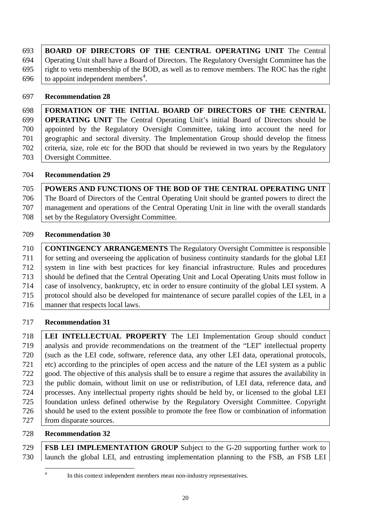| 693   BOARD OF DIRECTORS OF THE CENTRAL OPERATING UNIT The Central                                       |
|----------------------------------------------------------------------------------------------------------|
| 694   Operating Unit shall have a Board of Directors. The Regulatory Oversight Committee has the         |
| 695 $\parallel$ right to veto membership of the BOD, as well as to remove members. The ROC has the right |
| 696 to appoint independent members <sup>4</sup> .                                                        |

## **Recommendation 28**

 **FORMATION OF THE INITIAL BOARD OF DIRECTORS OF THE CENTRAL OPERATING UNIT** The Central Operating Unit's initial Board of Directors should be appointed by the Regulatory Oversight Committee, taking into account the need for geographic and sectoral diversity. The Implementation Group should develop the fitness criteria, size, role etc for the BOD that should be reviewed in two years by the Regulatory Oversight Committee.

## **Recommendation 29**

 **POWERS AND FUNCTIONS OF THE BOD OF THE CENTRAL OPERATING UNIT** The Board of Directors of the Central Operating Unit should be granted powers to direct the management and operations of the Central Operating Unit in line with the overall standards 708 set by the Regulatory Oversight Committee.

## **Recommendation 30**

 **CONTINGENCY ARRANGEMENTS** The Regulatory Oversight Committee is responsible for setting and overseeing the application of business continuity standards for the global LEI 712 system in line with best practices for key financial infrastructure. Rules and procedures should be defined that the Central Operating Unit and Local Operating Units must follow in case of insolvency, bankruptcy, etc in order to ensure continuity of the global LEI system. A protocol should also be developed for maintenance of secure parallel copies of the LEI, in a 716 manner that respects local laws.

# **Recommendation 31**

 **LEI INTELLECTUAL PROPERTY** The LEI Implementation Group should conduct analysis and provide recommendations on the treatment of the "LEI" intellectual property (such as the LEI code, software, reference data, any other LEI data, operational protocols, 721 etc) according to the principles of open access and the nature of the LEI system as a public good. The objective of this analysis shall be to ensure a regime that assures the availability in the public domain, without limit on use or redistribution, of LEI data, reference data, and processes. Any intellectual property rights should be held by, or licensed to the global LEI foundation unless defined otherwise by the Regulatory Oversight Committee. Copyright should be used to the extent possible to promote the free flow or combination of information 727 from disparate sources.

# **Recommendation 32**

<span id="page-20-0"></span> **FSB LEI IMPLEMENTATION GROUP** Subject to the G-20 supporting further work to launch the global LEI, and entrusting implementation planning to the FSB, an FSB LEI

<sup>&</sup>lt;sup>4</sup> In this context independent members mean non-industry representatives.